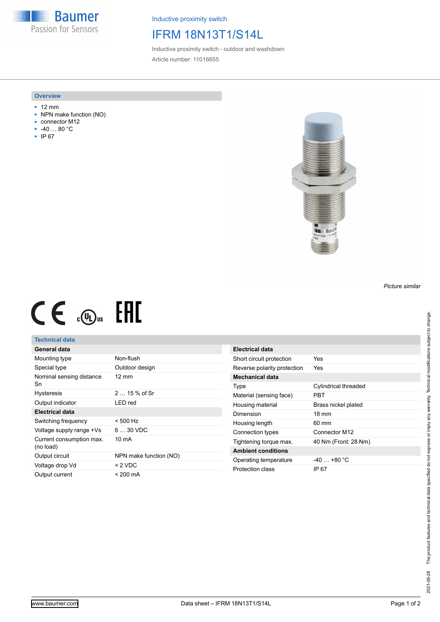**Baumer** Passion for Sensors

Inductive proximity switch

## IFRM 18N13T1/S14L

Inductive proximity switch - outdoor and washdown Article number: 11016655

#### **Overview**

- 12 mm
- NPN make function (NO)
- connector M12
- -40 … 80 °C
- IP 67



# $CE \oplus E$

#### **Technical data**

### **General data**

| Mounting type                         | Non-flush              |
|---------------------------------------|------------------------|
| Special type                          | Outdoor design         |
| Nominal sensing distance<br>Sn        | $12 \text{ mm}$        |
| <b>Hysteresis</b>                     | $215%$ of Sr           |
| Output indicator                      | LED red                |
| Electrical data                       |                        |
| Switching frequency                   | $< 500$ Hz             |
| Voltage supply range +Vs              | $630$ VDC              |
| Current consumption max.<br>(no load) | 10 mA                  |
| Output circuit                        | NPN make function (NO) |
| Voltage drop Vd                       | $< 2$ VDC              |
| Output current                        | < 200 mA               |

| Electrical data             |                      |
|-----------------------------|----------------------|
| Short circuit protection    | Yes                  |
| Reverse polarity protection | Yes                  |
| Mechanical data             |                      |
| Type                        | Cylindrical threaded |
| Material (sensing face)     | PRT                  |
| Housing material            | Brass nickel plated  |
| Dimension                   | $18 \text{ mm}$      |
| Housing length              | 60 mm                |
| Connection types            | Connector M12        |
| Tightening torque max.      | 40 Nm (Front: 28 Nm) |
| <b>Ambient conditions</b>   |                      |
| Operating temperature       | $-40+80 °C$          |
| Protection class            | IP 67                |